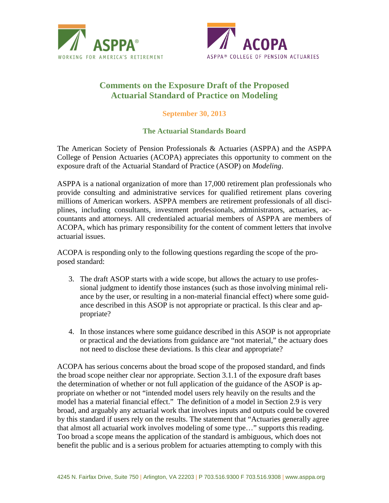



## **Comments on the Exposure Draft of the Proposed Actuarial Standard of Practice on Modeling**

## **September 30, 2013**

## **The Actuarial Standards Board**

The American Society of Pension Professionals & Actuaries (ASPPA) and the ASPPA College of Pension Actuaries (ACOPA) appreciates this opportunity to comment on the exposure draft of the Actuarial Standard of Practice (ASOP) on *Modeling*.

ASPPA is a national organization of more than 17,000 retirement plan professionals who provide consulting and administrative services for qualified retirement plans covering millions of American workers. ASPPA members are retirement professionals of all disciplines, including consultants, investment professionals, administrators, actuaries, accountants and attorneys. All credentialed actuarial members of ASPPA are members of ACOPA, which has primary responsibility for the content of comment letters that involve actuarial issues.

ACOPA is responding only to the following questions regarding the scope of the proposed standard:

- 3. The draft ASOP starts with a wide scope, but allows the actuary to use professional judgment to identify those instances (such as those involving minimal reliance by the user, or resulting in a non-material financial effect) where some guidance described in this ASOP is not appropriate or practical. Is this clear and appropriate?
- 4. In those instances where some guidance described in this ASOP is not appropriate or practical and the deviations from guidance are "not material," the actuary does not need to disclose these deviations. Is this clear and appropriate?

ACOPA has serious concerns about the broad scope of the proposed standard, and finds the broad scope neither clear nor appropriate. Section 3.1.1 of the exposure draft bases the determination of whether or not full application of the guidance of the ASOP is appropriate on whether or not "intended model users rely heavily on the results and the model has a material financial effect." The definition of a model in Section 2.9 is very broad, and arguably any actuarial work that involves inputs and outputs could be covered by this standard if users rely on the results. The statement that "Actuaries generally agree that almost all actuarial work involves modeling of some type…" supports this reading. Too broad a scope means the application of the standard is ambiguous, which does not benefit the public and is a serious problem for actuaries attempting to comply with this